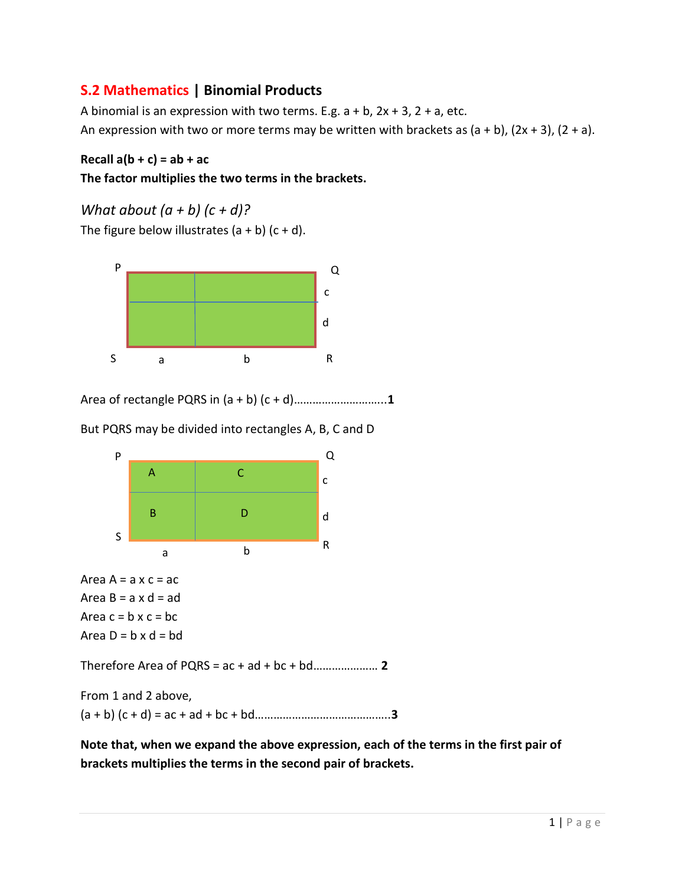## S.2 Mathematics | Binomial Products

A binomial is an expression with two terms. E.g.  $a + b$ ,  $2x + 3$ ,  $2 + a$ , etc. An expression with two or more terms may be written with brackets as  $(a + b)$ ,  $(2x + 3)$ ,  $(2 + a)$ .

## Recall  $a(b + c) = ab + ac$

## The factor multiplies the two terms in the brackets.

What about  $(a + b)$   $(c + d)$ ?

The figure below illustrates  $(a + b)$   $(c + d)$ .



Area of rectangle PQRS in (a + b) (c + d)………………………...1

But PQRS may be divided into rectangles A, B, C and D



Note that, when we expand the above expression, each of the terms in the first pair of brackets multiplies the terms in the second pair of brackets.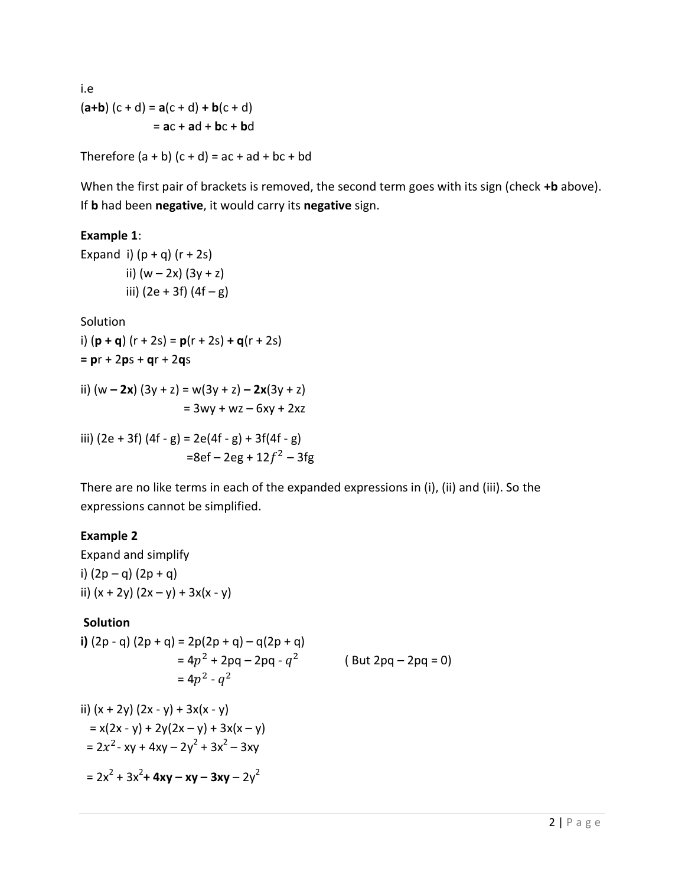i.e  $(a+b)$   $(c+d) = a(c+d) + b(c+d)$  $=$  ac + ad + bc + bd

Therefore  $(a + b)$   $(c + d) = ac + ad + bc + bd$ 

When the first pair of brackets is removed, the second term goes with its sign (check +b above). If **b** had been negative, it would carry its negative sign.

## Example 1:

Expand i)  $(p + q)$   $(r + 2s)$ ii)  $(w - 2x) (3y + z)$ iii)  $(2e + 3f) (4f - g)$ 

Solution

i)  $(p + q)$   $(r + 2s) = p(r + 2s) + q(r + 2s)$  $= pr + 2ps + qr + 2qs$ 

ii)  $(w - 2x) (3y + z) = w(3y + z) - 2x(3y + z)$  $= 3wy + wz - 6xy + 2xz$ 

iii) 
$$
(2e + 3f) (4f - g) = 2e(4f - g) + 3f(4f - g)
$$
  
=8ef - 2eg +  $12f^2 - 3fg$ 

There are no like terms in each of the expanded expressions in (i), (ii) and (iii). So the expressions cannot be simplified.

#### Example 2

Expand and simplify i)  $(2p - q) (2p + q)$ ii)  $(x + 2y) (2x - y) + 3x(x - y)$ 

#### **Solution**

i)  $(2p - q) (2p + q) = 2p(2p + q) - q(2p + q)$  $= 4p^2 + 2pq - 2pq - q^2$  (But 2pq – 2pq = 0)  $= 4p^2 - q^2$  $\frac{1}{2}$   $\frac{1}{2}$   $\frac{1}{2}$   $\frac{1}{2}$   $\frac{1}{2}$   $\frac{1}{2}$   $\frac{1}{2}$   $\frac{1}{2}$   $\frac{1}{2}$ 

ii) 
$$
(x + 2y) (2x - y) + 3x(x - y)
$$
  
\n $= x(2x - y) + 2y(2x - y) + 3x(x - y)$   
\n $= 2x^2 - xy + 4xy - 2y^2 + 3x^2 - 3xy$   
\n $= 2x^2 + 3x^2 + 4xy - xy - 3xy - 2y^2$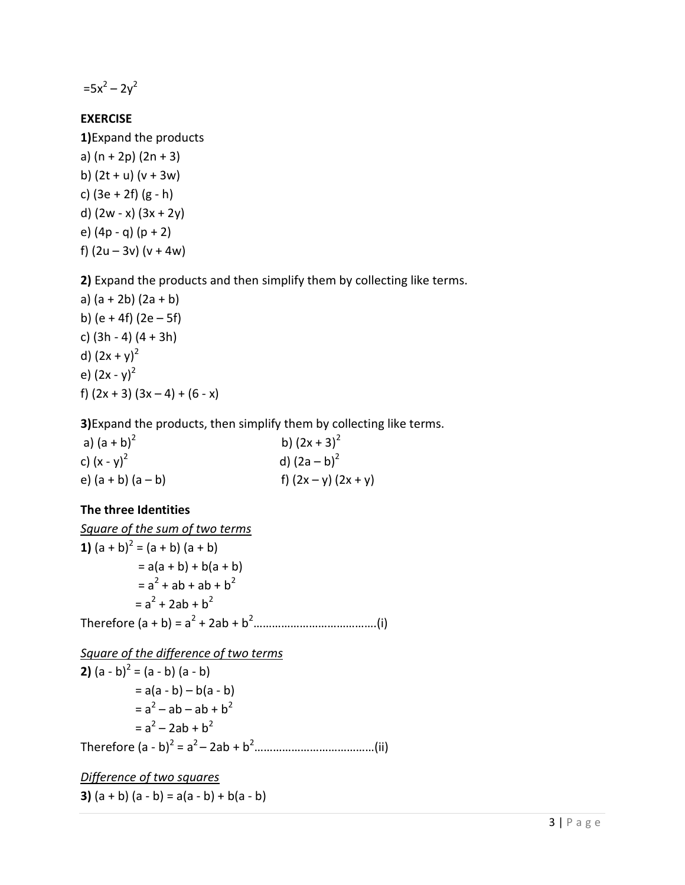$=5x^2-2y^2$ 

### EXERCISE

1)Expand the products a) (n + 2p) (2n + 3) b)  $(2t + u)$   $(v + 3w)$ c) (3e + 2f) (g - h) d)  $(2w - x)(3x + 2y)$ e) (4p - q) (p + 2) f)  $(2u - 3v) (v + 4w)$ 

2) Expand the products and then simplify them by collecting like terms.

a) (a + 2b) (2a + b) b) (e + 4f) (2e  $-5f$ ) c) (3h - 4) (4 + 3h) d)  $(2x + y)^2$ e)  $(2x - y)^2$ f)  $(2x + 3)$   $(3x - 4) + (6 - x)$ 

3)Expand the products, then simplify them by collecting like terms.

a)  $(a + b)^2$ b)  $(2x + 3)^2$ c)  $(x - y)^2$  d)  $(2a - b)^2$ e)  $(a + b) (a - b)$  f)  $(2x - y) (2x + y)$ 

## The three Identities

Square of the sum of two terms **1)**  $(a + b)^2 = (a + b) (a + b)$  $= a(a + b) + b(a + b)$  $= a<sup>2</sup> + ab + ab + b<sup>2</sup>$  $= a<sup>2</sup> + 2ab + b<sup>2</sup>$ Therefore (a + b) = a<sup>2</sup> + 2ab + b<sup>2</sup>………………………………….(i)

Square of the difference of two terms **2)**  $(a - b)^2 = (a - b)(a - b)$  $= a(a - b) - b(a - b)$  $= a^2 - ab - ab + b^2$  $= a^2 - 2ab + b^2$ Therefore (a - b)<sup>2</sup> = a<sup>2</sup>– 2ab + b<sup>2</sup>…………………………………(ii)

Difference of two squares 3)  $(a + b) (a - b) = a(a - b) + b(a - b)$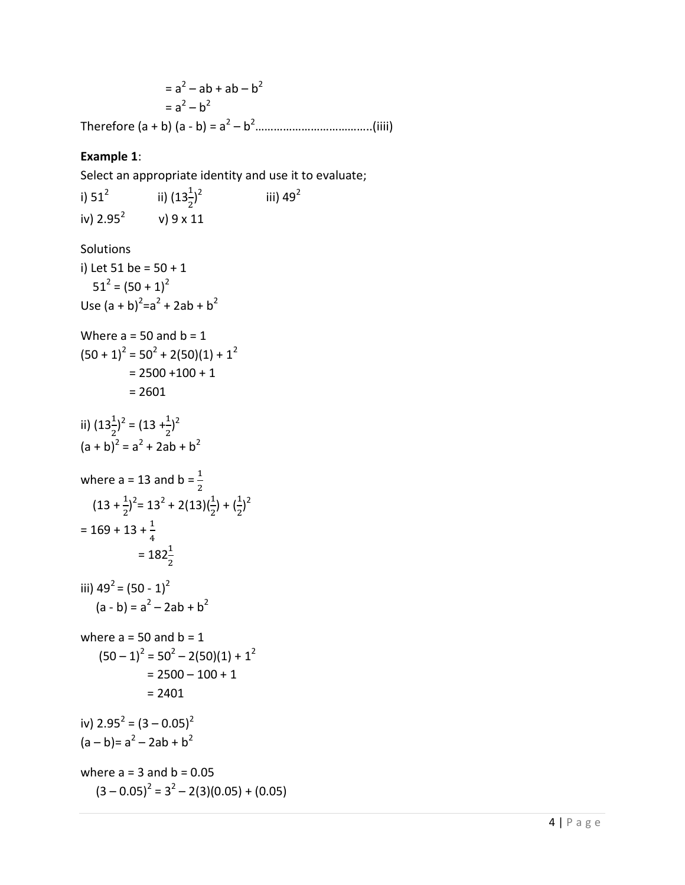$= a^2 - ab + ab - b^2$  $= a^2 - b^2$ Therefore (a + b) (a - b) = a<sup>2</sup> – b<sup>2</sup>………………………………..(iiii)

#### Example 1:

Select an appropriate identity and use it to evaluate;

i)  $51^2$ ii)  $(13\frac{1}{2})^2$ iii)  $49^2$ iv)  $2.95^2$  v) 9 x 11 **Solutions** i) Let  $51$  be =  $50 + 1$  $51^2 = (50 + 1)^2$ Use  $(a + b)^2 = a^2 + 2ab + b^2$ Where  $a = 50$  and  $b = 1$  $(50 + 1)^2 = 50^2 + 2(50)(1) + 1^2$  $= 2500 + 100 + 1$  = 2601 ii)  $(13\frac{1}{2})^2 = (13 + \frac{1}{2})^2$  $(a + b)^2 = a^2 + 2ab + b^2$ where a = 13 and b =  $\frac{1}{2}$  $(13 + \frac{1}{2})^2 = 13^2 + 2(13)(\frac{1}{2}) + (\frac{1}{2})^2$  $= 169 + 13 + \frac{1}{4}$  $= 182\frac{1}{2}$ iii)  $49^2 = (50 - 1)^2$  $(a - b) = a<sup>2</sup> - 2ab + b<sup>2</sup>$ where  $a = 50$  and  $b = 1$  $(50-1)^2 = 50^2 - 2(50)(1) + 1^2$  $= 2500 - 100 + 1$  $= 2401$ iv)  $2.95^2 = (3 - 0.05)^2$  $(a - b) = a<sup>2</sup> - 2ab + b<sup>2</sup>$ where  $a = 3$  and  $b = 0.05$  $(3 - 0.05)^2 = 3^2 - 2(3)(0.05) + (0.05)$